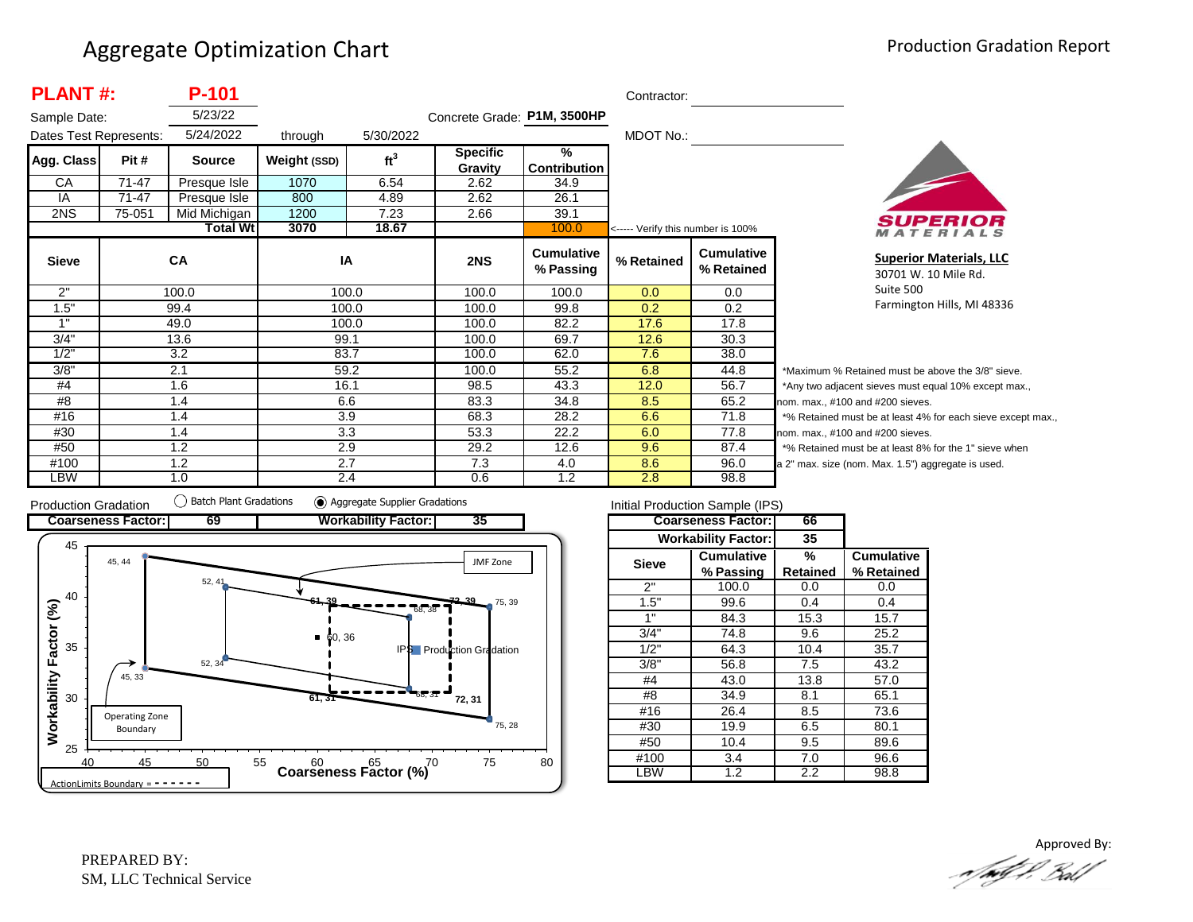| <b>PLANT#:</b>         |           | <b>P-101</b>    |              |                 |                             |                                | Contractor:                       |                                 |                          |
|------------------------|-----------|-----------------|--------------|-----------------|-----------------------------|--------------------------------|-----------------------------------|---------------------------------|--------------------------|
| Sample Date:           |           | 5/23/22         |              |                 | Concrete Grade: P1M, 3500HP |                                |                                   |                                 |                          |
| Dates Test Represents: |           | 5/24/2022       | through      | 5/30/2022       |                             |                                | MDOT No.:                         |                                 |                          |
| Agg. Class             | Pit #     | <b>Source</b>   | Weight (SSD) | ft <sup>3</sup> | <b>Specific</b><br>Gravity  | %<br><b>Contribution</b>       |                                   |                                 |                          |
| СA                     | $71 - 47$ | Presque Isle    | 1070         | 6.54            | 2.62                        | 34.9                           |                                   |                                 |                          |
| IA                     | $71 - 47$ | Presque Isle    | 800          | 4.89            | 2.62                        | 26.1                           |                                   |                                 |                          |
| 2NS                    | 75-051    | Mid Michigan    | 1200         | 7.23            | 2.66                        | 39.1                           |                                   |                                 |                          |
|                        |           | <b>Total Wt</b> | 3070         | 18.67           |                             | 100.0                          | <----- Verify this number is 100% |                                 |                          |
| <b>Sieve</b>           |           | CA              | IA           |                 | 2NS                         | <b>Cumulative</b><br>% Passing | % Retained                        | <b>Cumulative</b><br>% Retained |                          |
| 2"                     |           | 100.0           |              | 100.0           | 100.0                       | 100.0                          | 0.0                               | 0.0                             |                          |
| 1.5"                   |           | 99.4            |              | 100.0           | 100.0                       | 99.8                           | 0.2                               | 0.2                             |                          |
| 1"                     |           | 49.0            |              | 100.0           | 100.0                       | 82.2                           | 17.6                              | 17.8                            |                          |
| 3/4"                   |           | 13.6            | 99.1         |                 | 100.0                       | 69.7                           | 12.6                              | 30.3                            |                          |
| 1/2"                   |           | 3.2             |              | 83.7            | 100.0                       | 62.0                           | 7.6                               | 38.0                            |                          |
| 3/8"                   |           | 2.1             |              | 59.2            | 100.0                       | 55.2                           | 6.8                               | 44.8                            | $\overline{\phantom{a}}$ |
| #4                     |           | 1.6             |              | 16.1            | 98.5                        | 43.3                           | 12.0                              | 56.7                            | $^{\star}$               |
| #8                     |           | 1.4             |              | 6.6             | 83.3                        | 34.8                           | 8.5                               | 65.2                            | no                       |
| #16                    |           | 1.4             |              | 3.9             | 68.3                        | 28.2                           | 6.6                               | 71.8                            | $\star$                  |
| #30                    |           | 1.4             |              | 3.3             | 53.3                        | 22.2                           | 6.0                               | 77.8                            | no                       |
| #50                    |           | 1.2             |              | 2.9             | 29.2                        | 12.6                           | 9.6                               | 87.4                            | $\star$                  |
| #100                   |           | 1.2             |              | 2.7             | 7.3                         | 4.0                            | 8.6                               | 96.0                            | a 2                      |
| <b>LBW</b>             |           | 1.0             |              | 2.4             | 0.6                         | 1.2                            | 2.8                               | 98.8                            |                          |



**Superior Materials, LLC** 30701 W. 10 Mile Rd. Suite 500 Farmington Hills, MI 48336

Maximum % Retained must be above the 3/8" sieve. Any two adjacent sieves must equal 10% except max.,  $em.$  max.,  $#100$  and  $#200$  sieves. % Retained must be at least 4% for each sieve except max.,  $km.$  max.,  $#100$  and  $#200$  sieves. % Retained must be at least 8% for the 1" sieve when 2" max. size (nom. Max. 1.5") aggregate is used.



|              | Initial Production Sample (IPS) |          |                   |
|--------------|---------------------------------|----------|-------------------|
|              | <b>Coarseness Factor:</b>       | 66       |                   |
|              | <b>Workability Factor:</b>      | 35       |                   |
| <b>Sieve</b> | Cumulative                      | %        | <b>Cumulative</b> |
|              | % Passing                       | Retained | % Retained        |
| 2"           | 100.0                           | 0.0      | 0.0               |
| 1.5"         | 99.6                            | 0.4      | 0.4               |
| 1"           | 84.3                            | 15.3     | 15.7              |
| 3/4"         | 74.8                            | 9.6      | 25.2              |
| 1/2"         | 64.3                            | 10.4     | 35.7              |
| 3/8"         | 56.8                            | 7.5      | 43.2              |
| #4           | 43.0                            | 13.8     | 57.0              |
| #8           | 34.9                            | 8.1      | 65.1              |
| #16          | 26.4                            | 8.5      | 73.6              |
| #30          | 19.9                            | 6.5      | 80.1              |
| #50          | 10.4                            | 9.5      | 89.6              |
| #100         | 3.4                             | 7.0      | 96.6              |
| -BW          | $\overline{1.2}$                | 2.2      | 98.8              |

Approved By:.n/mff.l. Boll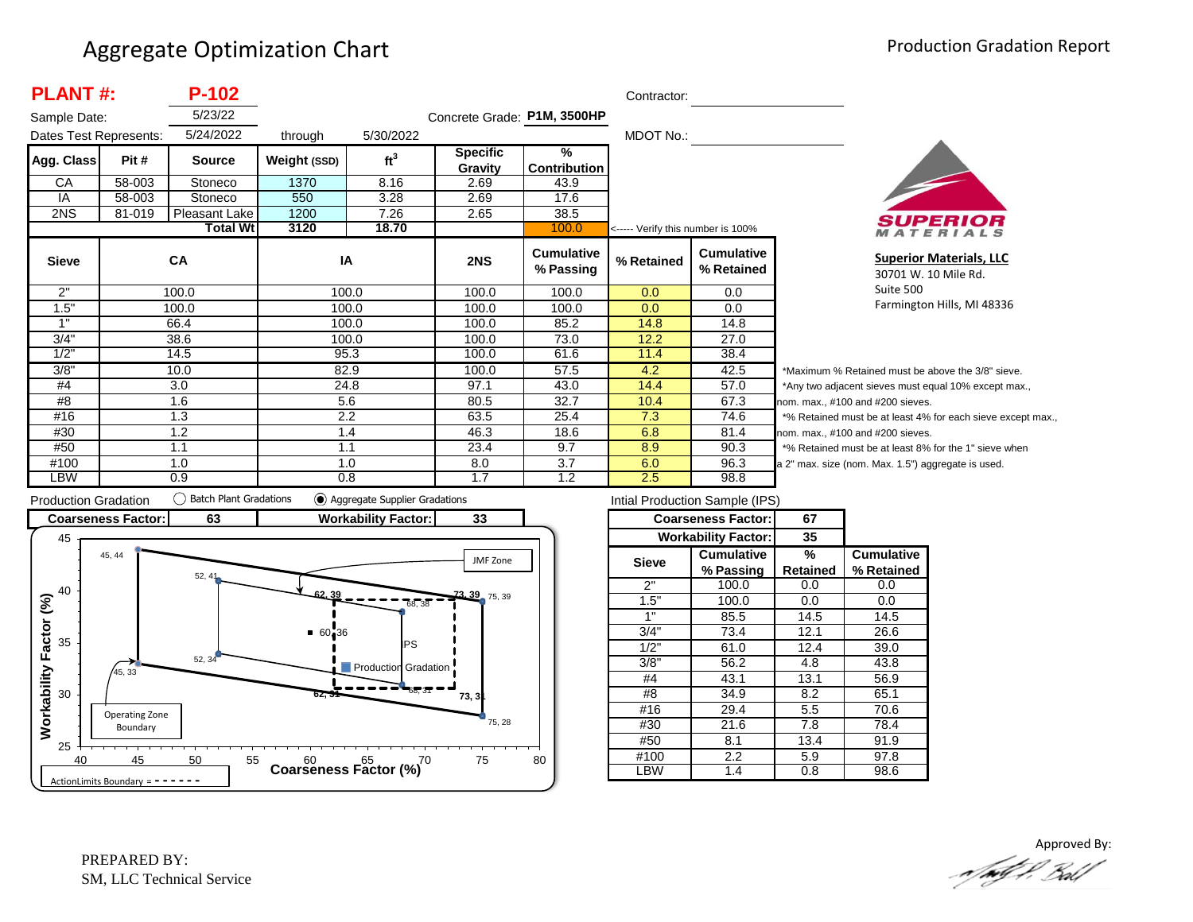| <b>PLANT#:</b>         |        | $P-102$              |              |                 |                             |                                      | Contractor:                       |                                 |              |
|------------------------|--------|----------------------|--------------|-----------------|-----------------------------|--------------------------------------|-----------------------------------|---------------------------------|--------------|
| Sample Date:           |        | 5/23/22              |              |                 | Concrete Grade: P1M, 3500HP |                                      |                                   |                                 |              |
| Dates Test Represents: |        | 5/24/2022<br>through |              | 5/30/2022       |                             | MDOT No.:                            |                                   |                                 |              |
| Agg. Class             | Pit #  | <b>Source</b>        | Weight (SSD) | ft <sup>3</sup> | <b>Specific</b><br>Gravity  | $\frac{9}{6}$<br><b>Contribution</b> |                                   |                                 |              |
| CA                     | 58-003 | Stoneco              | 1370         | 8.16            | 2.69                        | 43.9                                 |                                   |                                 |              |
| IA                     | 58-003 | Stoneco              | 550          | 3.28            | 2.69                        | 17.6                                 |                                   |                                 |              |
| 2NS                    | 81-019 | Pleasant Lake        | 1200         | 7.26            | 2.65                        | 38.5                                 |                                   |                                 |              |
|                        |        | <b>Total Wt</b>      | 3120         | 18.70           |                             | 100.0                                | <----- Verify this number is 100% |                                 |              |
| <b>Sieve</b>           |        | <b>CA</b>            | IA           |                 | 2NS                         | <b>Cumulative</b><br>% Passing       | % Retained                        | <b>Cumulative</b><br>% Retained |              |
| 2"                     |        | 100.0                | 100.0        |                 | 100.0                       | 100.0                                | 0.0                               | 0.0                             |              |
| 1.5"                   |        | 100.0                | 100.0        |                 | 100.0                       | 100.0                                | 0.0                               | 0.0                             |              |
| 1"                     |        | 66.4                 | 100.0        |                 | 100.0                       | 85.2                                 | 14.8                              | 14.8                            |              |
| 3/4"                   |        | 38.6                 | 100.0        |                 | 100.0                       | 73.0                                 | 12.2                              | 27.0                            |              |
| 1/2"                   |        | 14.5                 |              | 95.3            | 100.0                       | 61.6                                 | 11.4                              | 38.4                            |              |
| 3/8"                   |        | 10.0                 | 82.9         |                 | 100.0                       | 57.5                                 | 4.2                               | 42.5                            |              |
| #4                     |        | 3.0                  | 24.8         |                 | 97.1                        | 43.0                                 | 14.4                              | 57.0                            |              |
| #8                     |        | 1.6                  | 5.6          |                 | 80.5                        | 32.7                                 | 10.4                              | 67.3                            | <sub>n</sub> |
| #16                    |        | 1.3                  | 2.2          |                 | 63.5                        | 25.4                                 | 7.3                               | 74.6                            |              |
| #30                    |        | 1.2                  |              | 1.4             | 46.3                        | 18.6                                 | 6.8                               | 81.4                            | n            |
| #50                    |        | 1.1                  | 1.1          |                 | 23.4                        | 9.7                                  | 8.9                               | 90.3                            |              |
| #100                   |        | 1.0                  |              | 1.0             | 8.0                         | 3.7                                  | 6.0                               | 96.3                            | la           |
| LBW                    |        | 0.9                  | 0.8          |                 | 1.7                         | 1.2                                  | 2.5                               | 98.8                            |              |



**Superior Materials, LLC** 30701 W. 10 Mile Rd. Suite 500 Farmington Hills, MI 48336

\*Maximum % Retained must be above the 3/8" sieve. \*Any two adjacent sieves must equal 10% except max., om. max., #100 and #200 sieves. \*% Retained must be at least 4% for each sieve except max., om. max., #100 and #200 sieves. % Retained must be at least 8% for the 1" sieve when 2" max. size (nom. Max. 1.5") aggregate is used.



| Intial Production Sample (IPS) |                            |          |                   |  |  |  |  |  |  |
|--------------------------------|----------------------------|----------|-------------------|--|--|--|--|--|--|
|                                | <b>Coarseness Factor:</b>  | 67       |                   |  |  |  |  |  |  |
|                                | <b>Workability Factor:</b> | 35       |                   |  |  |  |  |  |  |
| <b>Sieve</b>                   | <b>Cumulative</b>          | %        | <b>Cumulative</b> |  |  |  |  |  |  |
|                                | % Passing                  | Retained | % Retained        |  |  |  |  |  |  |
| 2"                             | 100.0                      | 0.0      | 0.0               |  |  |  |  |  |  |
| 1.5"                           | 100.0                      | 0.0      | 0.0               |  |  |  |  |  |  |
| 1"                             | 85.5                       | 14.5     | 14.5              |  |  |  |  |  |  |
| 3/4"                           | 73.4                       | 12.1     | 26.6              |  |  |  |  |  |  |
| 1/2"                           | 61.0                       | 12.4     | 39.0              |  |  |  |  |  |  |
| 3/8"                           | 56.2                       | 4.8      | 43.8              |  |  |  |  |  |  |
| #4                             | 43.1                       | 13.1     | 56.9              |  |  |  |  |  |  |
| #8                             | 34.9                       | 8.2      | 65.1              |  |  |  |  |  |  |
| #16                            | 29.4                       | 5.5      | 70.6              |  |  |  |  |  |  |
| #30                            | 21.6                       | 7.8      | 78.4              |  |  |  |  |  |  |
| #50                            | 8.1                        | 13.4     | 91.9              |  |  |  |  |  |  |
| #100                           | $2.2\,$                    | 5.9      | 97.8              |  |  |  |  |  |  |
| .BW                            | 1.4                        | 0.8      | 98.6              |  |  |  |  |  |  |

Approved By:<br>Approved By: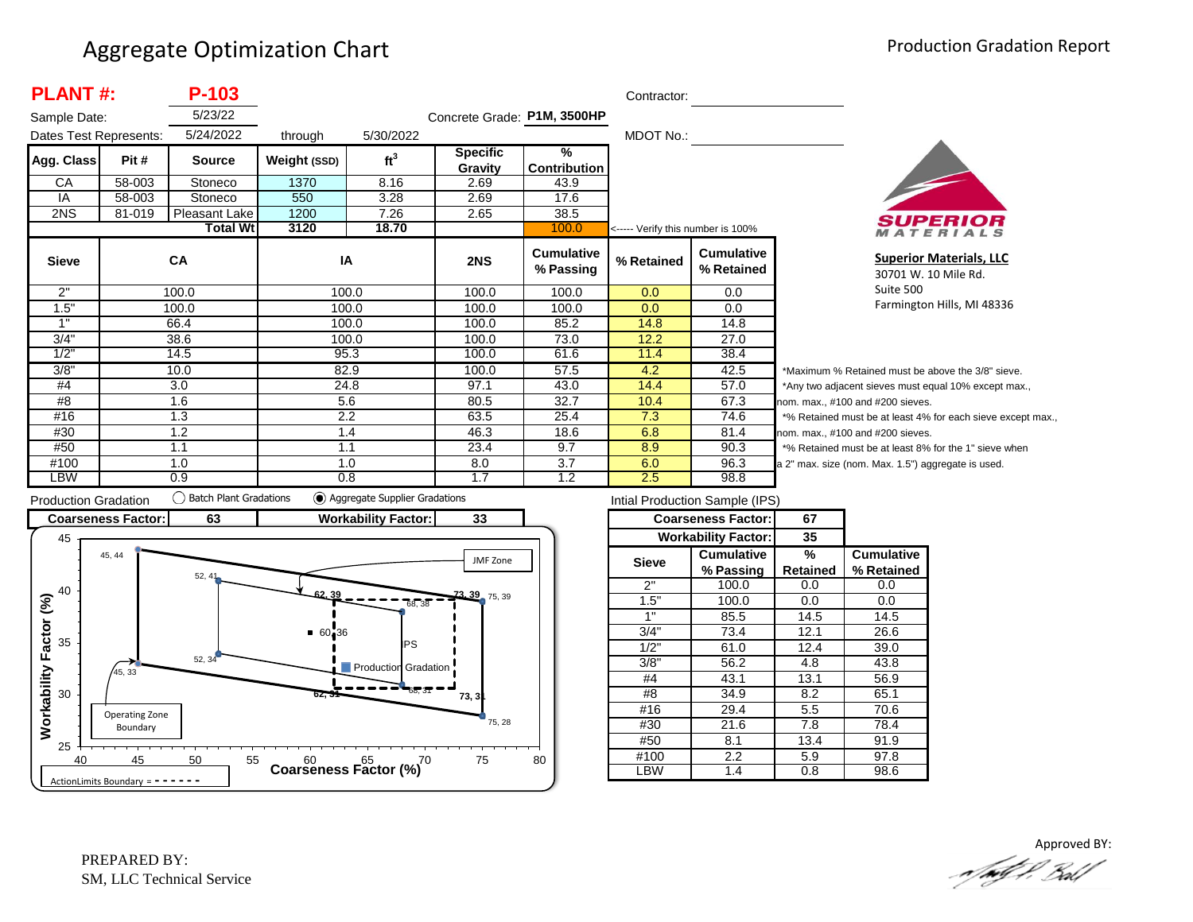| <b>PLANT#:</b>         |        | P-103           |              |                 |                             |                                      | Contractor:                       |                                 |
|------------------------|--------|-----------------|--------------|-----------------|-----------------------------|--------------------------------------|-----------------------------------|---------------------------------|
| Sample Date:           |        | 5/23/22         |              |                 | Concrete Grade: P1M, 3500HP |                                      |                                   |                                 |
| Dates Test Represents: |        | 5/24/2022       | through      | 5/30/2022       |                             |                                      | MDOT No.:                         |                                 |
| Agg. Class             | Pit #  | <b>Source</b>   | Weight (SSD) | ft <sup>3</sup> | <b>Specific</b><br>Gravity  | $\frac{9}{6}$<br><b>Contribution</b> |                                   |                                 |
| CA                     | 58-003 | Stoneco         | 1370         | 8.16            | 2.69                        | 43.9                                 |                                   |                                 |
| IA                     | 58-003 | Stoneco         | 550          | 3.28            | 2.69                        | 17.6                                 |                                   |                                 |
| 2NS                    | 81-019 | Pleasant Lake   | 1200         | 7.26            | 2.65                        | 38.5                                 |                                   |                                 |
|                        |        | <b>Total Wt</b> | 3120         | 18.70           |                             | 100.0                                | <----- Verify this number is 100% |                                 |
| <b>Sieve</b>           |        | <b>CA</b>       | IA           |                 | 2NS                         | <b>Cumulative</b><br>% Passing       | % Retained                        | <b>Cumulative</b><br>% Retained |
| 2"                     |        | 100.0           |              | 100.0           | 100.0                       | 100.0                                | 0.0                               | 0.0                             |
| 1.5"                   |        | 100.0           |              | 100.0           | 100.0                       | 100.0                                | 0.0                               | 0.0                             |
| 1"                     |        | 66.4            |              | 100.0           | 100.0                       | 85.2                                 | 14.8                              | 14.8                            |
| 3/4"                   |        | 38.6            |              | 100.0           | 100.0                       | 73.0                                 | 12.2                              | 27.0                            |
| 1/2"                   |        | 14.5            | 95.3         |                 | 100.0                       | 61.6                                 | 11.4                              | 38.4                            |
| 3/8"                   |        | 10.0            | 82.9         |                 | 100.0                       | 57.5                                 | 4.2                               | 42.5                            |
| #4                     |        | 3.0             | 24.8         |                 | 97.1                        | 43.0                                 | 14.4                              | 57.0                            |
| #8                     |        | 1.6             | 5.6          |                 | 80.5                        | 32.7                                 | 10.4                              | 67.3                            |
| #16                    |        | 1.3             | 2.2          |                 | 63.5                        | 25.4                                 | 7.3                               | 74.6                            |
| #30                    |        | 1.2             |              | 1.4             | 46.3                        | 18.6                                 | 6.8                               | 81.4                            |
| #50                    |        | 1.1             | 1.1          |                 | 23.4                        | 9.7                                  | 8.9                               | 90.3                            |
| #100                   |        | 1.0             | 1.0          |                 | 8.0                         | 3.7                                  | 6.0                               | 96.3<br>a                       |
| LBW                    |        | 0.9             | 0.8          |                 | 1.7                         | 1.2                                  | 2.5                               | 98.8                            |



**Superior Materials, LLC** 30701 W. 10 Mile Rd. Suite 500 Farmington Hills, MI 48336

Maximum % Retained must be above the 3/8" sieve. Any two adjacent sieves must equal 10% except max.,  $\mathsf{pm}$ . max., #100 and #200 sieves. % Retained must be at least 4% for each sieve except max.,  $om.$  max.,  $#100$  and  $#200$  sieves. % Retained must be at least 8% for the 1" sieve when 2" max. size (nom. Max. 1.5") aggregate is used.



|              | <b>Coarseness Factor:</b>  | 67       |                   |
|--------------|----------------------------|----------|-------------------|
|              | <b>Workability Factor:</b> | 35       |                   |
| <b>Sieve</b> | Cumulative                 | %        | <b>Cumulative</b> |
|              | % Passing                  | Retained | % Retained        |
| 2"           | 100.0                      | 0.0      | 0.0               |
| 1.5"         | 100.0                      | 0.0      | 0.0               |
| 1"           | 85.5                       | 14.5     | 14.5              |
| 3/4"         | 73.4                       | 12.1     | 26.6              |
| 1/2"         | 61.0                       | 12.4     | 39.0              |
| 3/8"         | 56.2                       | 4.8      | 43.8              |
| #4           | 43.1                       | 13.1     | 56.9              |
| #8           | 34.9                       | 8.2      | 65.1              |
| #16          | 29.4                       | 5.5      | 70.6              |
| #30          | 21.6                       | 7.8      | 78.4              |
| #50          | 8.1                        | 13.4     | 91.9              |
| #100         | 2.2                        | 5.9      | 97.8              |
| LBW          | 1.4                        | 0.8      | 98.6              |

Approved BY:a fødf f. Bolf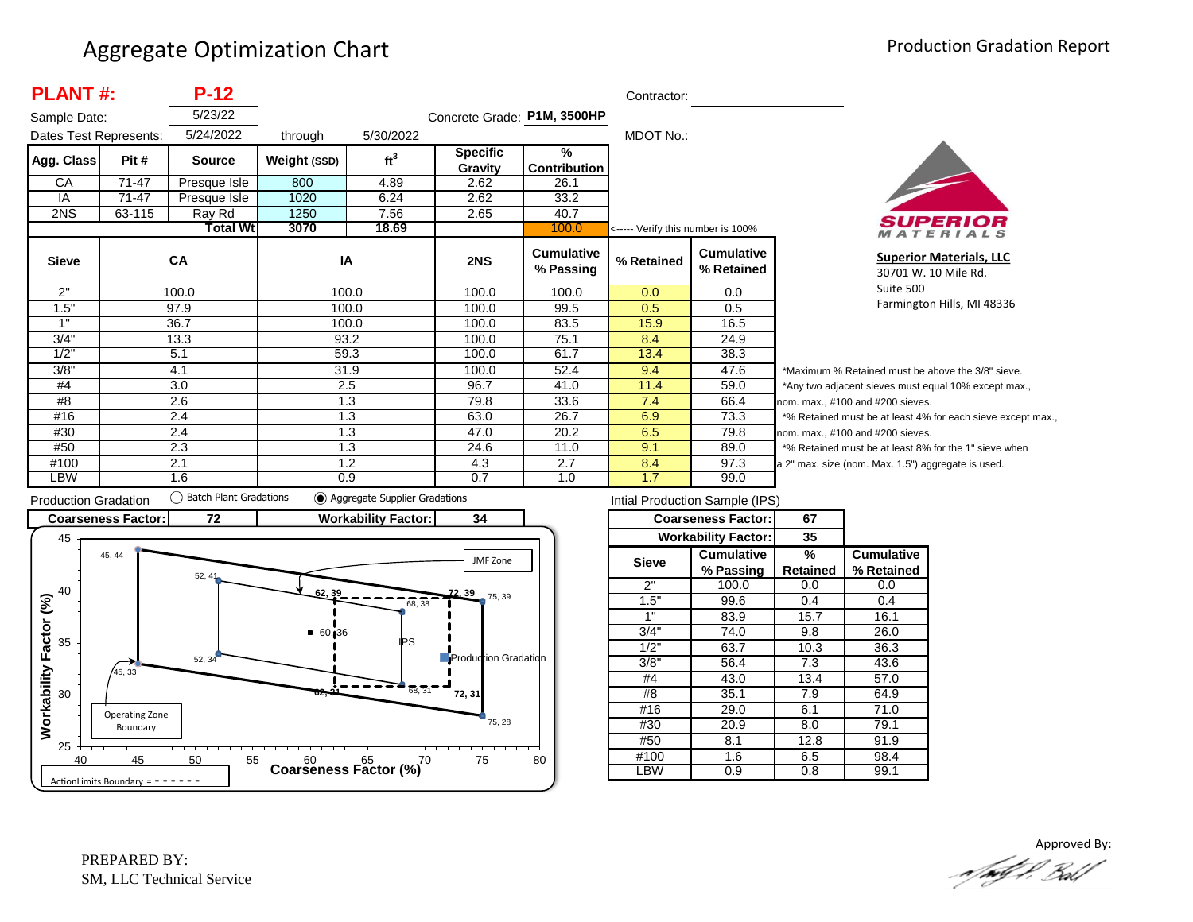| <b>PLANT#:</b>         |           | $P-12$          |              |                 |                             |                                | Contractor:                       |                                 |                  |
|------------------------|-----------|-----------------|--------------|-----------------|-----------------------------|--------------------------------|-----------------------------------|---------------------------------|------------------|
| Sample Date:           |           | 5/23/22         |              |                 | Concrete Grade: P1M, 3500HP |                                |                                   |                                 |                  |
| Dates Test Represents: |           | 5/24/2022       | through      | 5/30/2022       |                             |                                | MDOT No.:                         |                                 |                  |
| Agg. Class             | Pit #     | <b>Source</b>   | Weight (SSD) | ft <sup>3</sup> | <b>Specific</b><br>Gravity  | $\frac{9}{6}$<br>Contribution  |                                   |                                 |                  |
| CA                     | $71 - 47$ | Presque Isle    | 800          | 4.89            | 2.62                        | 26.1                           |                                   |                                 |                  |
| IA                     | 71-47     | Presque Isle    | 1020         | 6.24            | 2.62                        | 33.2                           |                                   |                                 |                  |
| 2NS                    | 63-115    | Ray Rd          | 1250         | 7.56            | 2.65                        | 40.7                           |                                   |                                 |                  |
|                        |           | <b>Total Wt</b> | 3070         | 18.69           |                             | 100.0                          | <----- Verify this number is 100% |                                 |                  |
| <b>Sieve</b>           |           | <b>CA</b>       | IA           |                 | 2NS                         | <b>Cumulative</b><br>% Passing | % Retained                        | <b>Cumulative</b><br>% Retained |                  |
| 2"                     |           | 100.0           | 100.0        |                 | 100.0                       | 100.0                          | 0.0                               | 0.0                             |                  |
| 1.5"                   |           | 97.9            | 100.0        |                 | 100.0                       | 99.5                           | 0.5                               | 0.5                             |                  |
| 1"                     |           | 36.7            | 100.0        |                 | 100.0                       | 83.5                           | 15.9                              | 16.5                            |                  |
| 3/4"                   |           | 13.3            | 93.2         |                 | 100.0                       | 75.1                           | 8.4                               | 24.9                            |                  |
| 1/2"                   |           | 5.1             | 59.3         |                 | 100.0                       | 61.7                           | 13.4                              | 38.3                            |                  |
| 3/8"                   |           | 4.1             | 31.9         |                 | 100.0                       | 52.4                           | 9.4                               | 47.6                            | *۱               |
| #4                     |           | 3.0             | 2.5          |                 | 96.7                        | 41.0                           | 11.4                              | 59.0                            | */               |
| #8                     |           | 2.6             | 1.3          |                 | 79.8                        | 33.6                           | 7.4                               | 66.4                            | nor              |
| #16                    |           | 2.4             | 1.3          |                 | 63.0                        | 26.7                           | 6.9                               | 73.3                            | $*$ <sup>o</sup> |
| #30                    |           | 2.4             | 1.3          |                 | 47.0                        | 20.2                           | 6.5                               | 79.8                            | nor              |
| #50                    |           | 2.3             | 1.3          |                 | 24.6                        | 11.0                           | 9.1                               | 89.0                            | $*$ <sup>o</sup> |
| #100                   |           | 2.1             | 1.2          |                 | 4.3                         | 2.7                            | 8.4                               | 97.3                            | a <sub>2</sub>   |
| LBW                    |           | 1.6             | 0.9          |                 | 0.7                         | 1.0                            | 1.7                               | 99.0                            |                  |



**Superior Materials, LLC** 30701 W. 10 Mile Rd. Suite 500 Farmington Hills, MI 48336

Maximum % Retained must be above the 3/8" sieve. Any two adjacent sieves must equal 10% except max., m. max., #100 and #200 sieves. % Retained must be at least 4% for each sieve except max., m. max., #100 and #200 sieves. % Retained must be at least 8% for the 1" sieve when " max. size (nom. Max. 1.5") aggregate is used.



| Intial Production Sample (IPS) |                            |          |                   |  |  |  |  |  |  |
|--------------------------------|----------------------------|----------|-------------------|--|--|--|--|--|--|
|                                | <b>Coarseness Factor:</b>  | 67       |                   |  |  |  |  |  |  |
|                                | <b>Workability Factor:</b> | 35       |                   |  |  |  |  |  |  |
| <b>Sieve</b>                   | <b>Cumulative</b>          | %        | <b>Cumulative</b> |  |  |  |  |  |  |
|                                | % Passing                  | Retained | % Retained        |  |  |  |  |  |  |
| 2"                             | 100.0                      | 0.0      | 0.0               |  |  |  |  |  |  |
| 1.5"                           | 99.6                       | 0.4      | 0.4               |  |  |  |  |  |  |
| 1"                             | 83.9                       | 15.7     | 16.1              |  |  |  |  |  |  |
| 3/4"                           | 74.0                       | 9.8      | 26.0              |  |  |  |  |  |  |
| 1/2"                           | 63.7                       | 10.3     | 36.3              |  |  |  |  |  |  |
| 3/8"                           | 56.4                       | 7.3      | 43.6              |  |  |  |  |  |  |
| #4                             | 43.0                       | 13.4     | 57.0              |  |  |  |  |  |  |
| #8                             | 35.1                       | 7.9      | 64.9              |  |  |  |  |  |  |
| #16                            | 29.0                       | 6.1      | 71.0              |  |  |  |  |  |  |
| #30                            | 20.9                       | 8.0      | 79.1              |  |  |  |  |  |  |
| #50                            | 8.1                        | 12.8     | 91.9              |  |  |  |  |  |  |
| #100                           | 1.6                        | 6.5      | 98.4              |  |  |  |  |  |  |
| -BW                            | 0.9                        | 0.8      | 99.1              |  |  |  |  |  |  |

Approved By:<br>Approved By: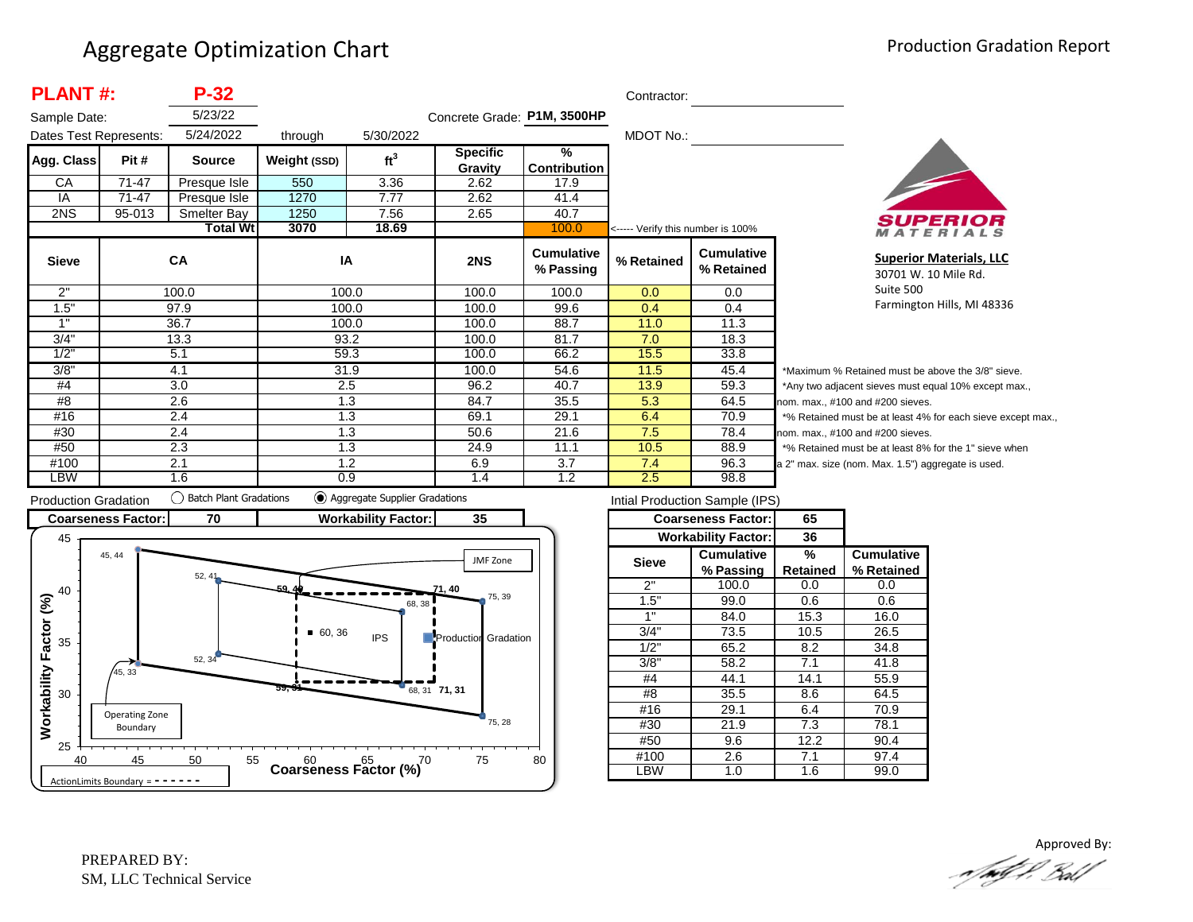| <b>PLANT#:</b>         |        | $P-32$          |              |                 |                             |                                      | Contractor:                       |                                 |
|------------------------|--------|-----------------|--------------|-----------------|-----------------------------|--------------------------------------|-----------------------------------|---------------------------------|
| Sample Date:           |        | 5/23/22         |              |                 | Concrete Grade: P1M, 3500HP |                                      |                                   |                                 |
| Dates Test Represents: |        | 5/24/2022       | through      | 5/30/2022       |                             |                                      | MDOT No.:                         |                                 |
| Agg. Class             | Pit #  | <b>Source</b>   | Weight (SSD) | ft <sup>3</sup> | <b>Specific</b><br>Gravity  | $\frac{9}{6}$<br><b>Contribution</b> |                                   |                                 |
| СA                     | 71-47  | Presque Isle    | 550          | 3.36            | 2.62                        | 17.9                                 |                                   |                                 |
| IA                     | 71-47  | Presque Isle    | 1270         | 7.77            | 2.62                        | 41.4                                 |                                   |                                 |
| 2NS                    | 95-013 | Smelter Bay     | 1250         | 7.56            | 2.65                        | 40.7                                 |                                   |                                 |
|                        |        | <b>Total Wt</b> | 3070         | 18.69           |                             | 100.0                                | <----- Verify this number is 100% |                                 |
| <b>Sieve</b>           |        | <b>CA</b>       | IA           |                 | 2NS                         | <b>Cumulative</b><br>% Passing       | % Retained                        | <b>Cumulative</b><br>% Retained |
| 2"                     |        | 100.0           |              | 100.0           | 100.0                       | 100.0                                | 0.0                               | 0.0                             |
| 1.5"                   |        | 97.9            |              | 100.0           | 100.0                       | 99.6                                 | 0.4                               | 0.4                             |
| 1"                     |        | 36.7            |              | 100.0           | 100.0                       | 88.7                                 | 11.0                              | 11.3                            |
| 3/4"                   |        | 13.3            | 93.2         |                 | 100.0                       | 81.7                                 | 7.0                               | 18.3                            |
| 1/2"                   |        | 5.1             | 59.3         |                 | 100.0                       | 66.2                                 | 15.5                              | 33.8                            |
| 3/8"                   |        | 4.1             | 31.9         |                 | 100.0                       | 54.6                                 | 11.5                              | 45.4                            |
| #4                     |        | 3.0             |              | 2.5             | 96.2                        | 40.7                                 | 13.9                              | 59.3                            |
| #8                     |        | 2.6             |              | 1.3             | 84.7                        | 35.5                                 | 5.3                               | 64.5<br>nc                      |
| #16                    |        | 2.4             |              | 1.3             | 69.1                        | 29.1                                 | 6.4                               | 70.9                            |
| #30                    |        | 2.4             |              | 1.3             | 50.6                        | 21.6                                 | 7.5                               | 78.4<br>nc                      |
| #50                    |        | 2.3             |              | 1.3             | 24.9                        | 11.1                                 | 10.5                              | 88.9                            |
| #100                   |        | 2.1             |              | 1.2             | 6.9                         | 3.7                                  | 7.4                               | 96.3<br>$a$ :                   |
| LBW                    |        | 1.6             | 0.9          |                 | 1.4                         | 1.2                                  | 2.5                               | 98.8                            |



**Superior Materials, LLC** 30701 W. 10 Mile Rd. Suite 500 Farmington Hills, MI 48336

Maximum % Retained must be above the 3/8" sieve. Any two adjacent sieves must equal 10% except max.,  $\mathsf{pm}$ . max., #100 and #200 sieves. % Retained must be at least 4% for each sieve except max.,  $om.$  max.,  $#100$  and  $#200$  sieves. % Retained must be at least 8% for the 1" sieve when 2" max. size (nom. Max. 1.5") aggregate is used.



| Intial Production Sample (IPS) |                            |          |                   |  |  |  |  |  |
|--------------------------------|----------------------------|----------|-------------------|--|--|--|--|--|
|                                | <b>Coarseness Factor:</b>  | 65       |                   |  |  |  |  |  |
|                                | <b>Workability Factor:</b> | 36       |                   |  |  |  |  |  |
| <b>Sieve</b>                   | Cumulative                 | %        | <b>Cumulative</b> |  |  |  |  |  |
|                                | % Passing                  | Retained | % Retained        |  |  |  |  |  |
| 2"                             | 100.0                      | 0.0      | 0.0               |  |  |  |  |  |
| 1.5"                           | 99.0                       | 0.6      | 0.6               |  |  |  |  |  |
| 1"                             | 84.0                       | 15.3     | 16.0              |  |  |  |  |  |
| 3/4"                           | 73.5                       | 10.5     | 26.5              |  |  |  |  |  |
| 1/2"                           | 65.2                       | 8.2      | 34.8              |  |  |  |  |  |
| 3/8"                           | 58.2                       | 7.1      | 41.8              |  |  |  |  |  |
| #4                             | 44.1                       | 14.1     | 55.9              |  |  |  |  |  |
| #8                             | 35.5                       | 8.6      | 64.5              |  |  |  |  |  |
| #16                            | 29.1                       | 6.4      | 70.9              |  |  |  |  |  |
| #30                            | 21.9                       | 7.3      | 78.1              |  |  |  |  |  |
| #50                            | 9.6                        | 12.2     | 90.4              |  |  |  |  |  |
| #100                           | 2.6                        | 7.1      | 97.4              |  |  |  |  |  |
| LBW                            | 1.0                        | 1.6      | 99.0              |  |  |  |  |  |
|                                |                            |          |                   |  |  |  |  |  |

Approved By:<br>Approved By: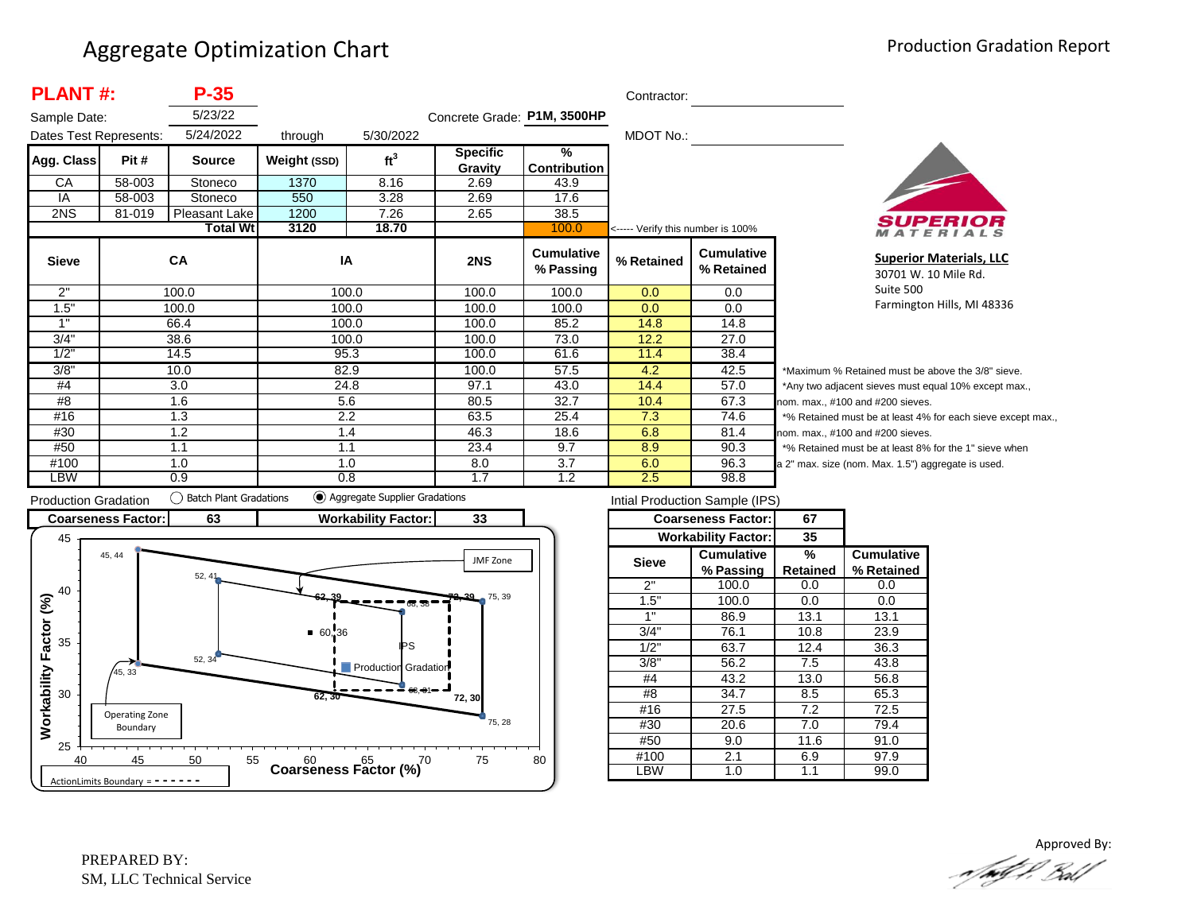| <b>PLANT#:</b>         |            | $P-35$          |              |                 |                             |                                      | Contractor:                       |                                 |          |
|------------------------|------------|-----------------|--------------|-----------------|-----------------------------|--------------------------------------|-----------------------------------|---------------------------------|----------|
| Sample Date:           |            | 5/23/22         |              |                 | Concrete Grade: P1M, 3500HP |                                      |                                   |                                 |          |
| Dates Test Represents: |            | 5/24/2022       | through      | 5/30/2022       |                             |                                      | MDOT No.:                         |                                 |          |
| Agg. Class             | Pit #      | <b>Source</b>   | Weight (SSD) | ft <sup>3</sup> | <b>Specific</b><br>Gravity  | $\frac{9}{6}$<br><b>Contribution</b> |                                   |                                 |          |
| CA                     | 58-003     | Stoneco         | 1370         | 8.16            | 2.69                        | 43.9                                 |                                   |                                 |          |
| IA                     | 58-003     | Stoneco         | 550          | 3.28            | 2.69                        | 17.6                                 |                                   |                                 |          |
| 2NS                    | 81-019     | Pleasant Lake   | 1200         | 7.26            | 2.65                        | 38.5                                 |                                   |                                 |          |
|                        |            | <b>Total Wt</b> | 3120         | 18.70           |                             | 100.0                                | <----- Verify this number is 100% |                                 |          |
| <b>Sieve</b>           |            | CA              | IA           |                 | 2NS                         | <b>Cumulative</b><br>% Passing       | % Retained                        | <b>Cumulative</b><br>% Retained |          |
| 2"                     |            | 100.0           |              | 100.0           | 100.0                       | 100.0                                | 0.0                               | 0.0                             |          |
| 1.5"                   |            | 100.0           |              | 100.0           | 100.0                       | 100.0                                | 0.0                               | 0.0                             |          |
| 1"                     |            | 66.4            |              | 100.0           | 100.0                       | 85.2                                 | 14.8                              | 14.8                            |          |
| 3/4"                   |            | 38.6            |              | 100.0           | 100.0                       | 73.0                                 | 12.2                              | 27.0                            |          |
| 1/2"                   |            | 14.5            |              | 95.3            | 100.0                       | 61.6                                 | 11.4                              | 38.4                            |          |
| 3/8"                   |            | 10.0            |              | 82.9            | 100.0                       | 57.5                                 | 4.2                               | 42.5                            | $^\star$ |
| #4                     |            | 3.0             |              | 24.8            | 97.1                        | 43.0                                 | 14.4                              | 57.0                            | $^\star$ |
| #8                     |            | 1.6             | 5.6          |                 | 80.5                        | 32.7                                 | 10.4                              | 67.3                            | no       |
| #16                    | 1.3<br>2.2 |                 |              | 63.5            | 25.4                        | 7.3                                  | 74.6                              |                                 |          |
| #30                    |            | 1.2             |              | 1.4             | 46.3                        | 18.6                                 | 6.8                               | 81.4                            | no       |
| #50                    |            | 1.1             | 1.1          |                 | 23.4                        | 9.7                                  | 8.9                               | 90.3                            |          |
| #100                   |            | 1.0             |              | 1.0             | 8.0                         | 3.7                                  | 6.0                               | 96.3                            | la 2     |
| LBW                    |            | 0.9             | 0.8          |                 | 1.7                         | 1.2                                  | 2.5                               | 98.8                            |          |



**Superior Materials, LLC** 30701 W. 10 Mile Rd. Suite 500 Farmington Hills, MI 48336

Maximum % Retained must be above the 3/8" sieve. Any two adjacent sieves must equal 10% except max.,  $em.$  max.,  $#100$  and  $#200$  sieves. % Retained must be at least 4% for each sieve except max.,  $km.$  max.,  $#100$  and  $#200$  sieves. % Retained must be at least 8% for the 1" sieve when 2" max. size (nom. Max. 1.5") aggregate is used.



| Intial Production Sample (IPS) |                            |                 |                   |  |  |  |  |  |  |
|--------------------------------|----------------------------|-----------------|-------------------|--|--|--|--|--|--|
|                                | <b>Coarseness Factor:</b>  | 67              |                   |  |  |  |  |  |  |
|                                | <b>Workability Factor:</b> | 35              |                   |  |  |  |  |  |  |
| <b>Sieve</b>                   | <b>Cumulative</b>          | %               | <b>Cumulative</b> |  |  |  |  |  |  |
|                                | % Passing                  | <b>Retained</b> | % Retained        |  |  |  |  |  |  |
| 2"                             | 100.0                      | 0.0             | 0.0               |  |  |  |  |  |  |
| 1.5"                           | 100.0                      | 0.0             | 0.0               |  |  |  |  |  |  |
| 1"                             | 86.9                       | 13.1            | 13.1              |  |  |  |  |  |  |
| 3/4"                           | 76.1                       | 10.8            | 23.9              |  |  |  |  |  |  |
| 1/2"                           | 63.7                       | 12.4            | 36.3              |  |  |  |  |  |  |
| 3/8"                           | 56.2                       | 7.5             | 43.8              |  |  |  |  |  |  |
| #4                             | 43.2                       | 13.0            | 56.8              |  |  |  |  |  |  |
| #8                             | 34.7                       | 8.5             | 65.3              |  |  |  |  |  |  |
| #16                            | 27.5                       | 7.2             | 72.5              |  |  |  |  |  |  |
| #30                            | 20.6                       | 7.0             | 79.4              |  |  |  |  |  |  |
| #50                            | 9.0                        | 11.6            | 91.0              |  |  |  |  |  |  |
| #100                           | 2.1                        | 6.9             | 97.9              |  |  |  |  |  |  |
| ∟BW                            | 1.0                        | 1.1             | 99.0              |  |  |  |  |  |  |

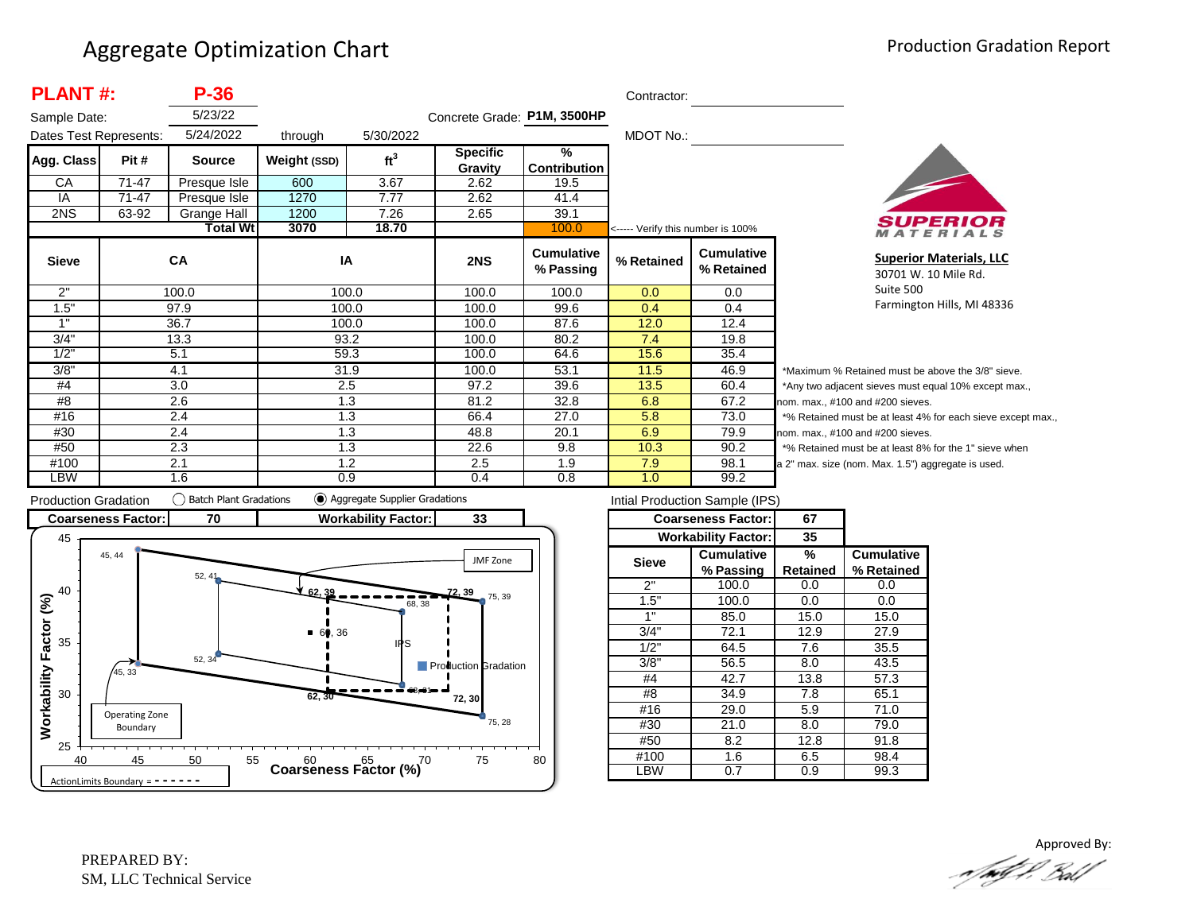| <b>PLANT#:</b>         |       | P-36            |              |                 |                             |                                | Contractor:                       |                                 |                  |
|------------------------|-------|-----------------|--------------|-----------------|-----------------------------|--------------------------------|-----------------------------------|---------------------------------|------------------|
| Sample Date:           |       | 5/23/22         |              |                 | Concrete Grade: P1M, 3500HP |                                |                                   |                                 |                  |
| Dates Test Represents: |       | 5/24/2022       | through      | 5/30/2022       |                             |                                | MDOT No.:                         |                                 |                  |
| Agg. Class             | Pit # | <b>Source</b>   | Weight (SSD) | ft <sup>3</sup> | <b>Specific</b><br>Gravity  | ℅<br><b>Contribution</b>       |                                   |                                 |                  |
| CA                     | 71-47 | Presque Isle    | 600          | 3.67            | 2.62                        | 19.5                           |                                   |                                 |                  |
| IA                     | 71-47 | Presque Isle    | 1270         | 7.77            | 2.62                        | 41.4                           |                                   |                                 |                  |
| 2NS                    | 63-92 | Grange Hall     | 1200         | 7.26            | 2.65                        | 39.1                           |                                   |                                 |                  |
|                        |       | <b>Total Wt</b> | 3070         | 18.70           |                             | 100.0                          | <----- Verify this number is 100% |                                 |                  |
| <b>Sieve</b>           |       | <b>CA</b>       | IA           |                 | 2NS                         | <b>Cumulative</b><br>% Passing | % Retained                        | <b>Cumulative</b><br>% Retained |                  |
| 2"                     |       | 100.0           |              | 100.0           | 100.0                       | 100.0                          | 0.0                               | $0.0\,$                         |                  |
| 1.5"                   |       | 97.9            |              | 100.0           | 100.0                       | 99.6                           | 0.4                               | 0.4                             |                  |
| 1"                     |       | 36.7            |              | 100.0           | 100.0                       | 87.6                           | 12.0                              | 12.4                            |                  |
| 3/4"                   |       | 13.3            |              | 93.2            | 100.0                       | 80.2                           | 7.4                               | 19.8                            |                  |
| 1/2"                   |       | 5.1             |              | 59.3            | 100.0                       | 64.6                           | 15.6                              | 35.4                            |                  |
| 3/8"                   | 4.1   |                 | 31.9         |                 | 100.0                       | 53.1                           | 11.5                              | 46.9                            | *۱               |
| #4                     | 3.0   |                 | 2.5          |                 | 97.2                        | 39.6                           | 13.5                              | 60.4                            | */               |
| #8                     | 2.6   |                 | 1.3          |                 | 81.2                        | 32.8                           | 6.8                               | 67.2                            | nor              |
| #16                    | 2.4   |                 | 1.3          |                 | 66.4                        | 27.0                           | 5.8                               | 73.0                            | $*$ <sup>o</sup> |
| #30                    | 2.4   |                 | 1.3          |                 | 48.8                        | 20.1                           | 6.9                               | 79.9                            | nor              |
| #50                    | 2.3   |                 | 1.3          |                 | 22.6                        | 9.8                            | 10.3                              | 90.2                            | $*$ <sup>o</sup> |
| #100                   | 2.1   |                 | 1.2          |                 | 2.5                         | 1.9                            | 7.9                               | 98.1                            | a <sub>2</sub>   |
| LBW                    |       | 1.6             | 0.9          |                 | 0.4                         | 0.8                            | 1.0                               | 99.2                            |                  |



**Superior Materials, LLC** 30701 W. 10 Mile Rd. Suite 500 Farmington Hills, MI 48336

Maximum % Retained must be above the 3/8" sieve. Any two adjacent sieves must equal 10% except max., m. max., #100 and #200 sieves. % Retained must be at least 4% for each sieve except max., m. max., #100 and #200 sieves. % Retained must be at least 8% for the 1" sieve when <sup>2</sup> max. size (nom. Max. 1.5") aggregate is used.



|              | Intial Production Sample (IPS) |          |                   |  |
|--------------|--------------------------------|----------|-------------------|--|
|              | <b>Coarseness Factor:</b>      | 67       |                   |  |
|              | <b>Workability Factor:</b>     | 35       |                   |  |
| <b>Sieve</b> | <b>Cumulative</b>              | %        | <b>Cumulative</b> |  |
|              | % Passing                      | Retained | % Retained        |  |
| 2"           | 100.0                          | 0.0      | 0.0               |  |
| 1.5"         | 100.0                          | 0.0      | 0.0               |  |
| 1"           | 85.0                           | 15.0     | 15.0              |  |
| 3/4"         | 72.1                           | 12.9     | 27.9              |  |
| 1/2"         | 64.5                           | 7.6      | 35.5              |  |
| 3/8"         | 56.5                           | 8.0      | 43.5              |  |
| #4           | 42.7                           | 13.8     | 57.3              |  |
| #8           | 34.9                           | 7.8      | 65.1              |  |
| #16          | 29.0                           | 5.9      | 71.0              |  |
| #30          | 21.0                           | 8.0      | 79.0              |  |
| #50          | 8.2                            | 12.8     | 91.8              |  |
| #100         | 1.6                            | 6.5      | 98.4              |  |
| LBW          | 0.7                            | 0.9      | 99.3              |  |
|              |                                |          |                   |  |

Approved By:<br>Approved By: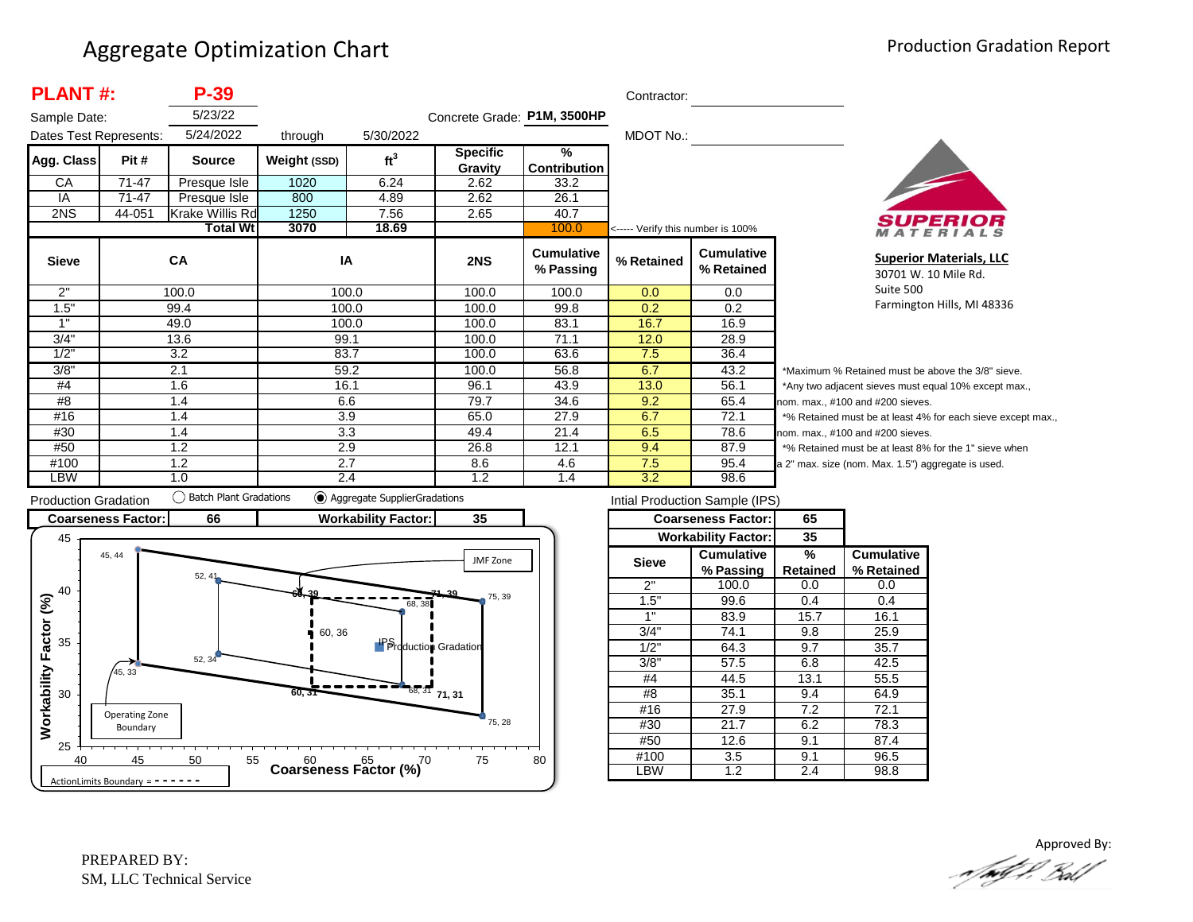| <b>PLANT#:</b> |                        | P-39                   |              |                 |                             |                                | Contractor:                       |                                 |                |
|----------------|------------------------|------------------------|--------------|-----------------|-----------------------------|--------------------------------|-----------------------------------|---------------------------------|----------------|
| Sample Date:   |                        | 5/23/22                |              |                 | Concrete Grade: P1M, 3500HP |                                |                                   |                                 |                |
|                | Dates Test Represents: | 5/24/2022              | through      | 5/30/2022       |                             |                                | MDOT No.:                         |                                 |                |
| Agg. Class     | Pit #                  | <b>Source</b>          | Weight (SSD) | ft <sup>3</sup> | <b>Specific</b>             | $\frac{9}{6}$                  |                                   |                                 |                |
|                |                        |                        |              |                 | Gravity                     | <b>Contribution</b>            |                                   |                                 |                |
| СA             | 71-47                  | Presque Isle           | 1020         | 6.24            | 2.62                        | 33.2                           |                                   |                                 |                |
| IA             | 71-47                  | Presque Isle           | 800          | 4.89            | 2.62                        | 26.1                           |                                   |                                 |                |
| 2NS            | 44-051                 | <b>Krake Willis Rd</b> | 1250         | 7.56            | 2.65                        | 40.7                           |                                   |                                 |                |
|                |                        | <b>Total Wtl</b>       | 3070         | 18.69           |                             | 100.0                          | <----- Verify this number is 100% |                                 |                |
| <b>Sieve</b>   |                        | CA                     | IA           |                 | 2NS                         | <b>Cumulative</b><br>% Passing | % Retained                        | <b>Cumulative</b><br>% Retained |                |
| 2"             |                        | 100.0                  | 100.0        |                 | 100.0                       | 100.0                          | 0.0                               | 0.0                             |                |
| 1.5"           |                        | 99.4                   | 100.0        |                 | 100.0                       | 99.8                           | 0.2                               | 0.2                             |                |
| 1"             |                        | 49.0                   | 100.0        |                 | 100.0                       | 83.1                           | 16.7                              | 16.9                            |                |
| 3/4"           |                        | 13.6                   | 99.1         |                 | 100.0                       | 71.1                           | 12.0                              | 28.9                            |                |
| 1/2"           |                        | 3.2                    | 83.7         |                 | 100.0                       | 63.6                           | 7.5                               | 36.4                            |                |
| 3/8"           |                        | 2.1                    | 59.2         |                 | 100.0                       | 56.8                           | 6.7                               | 43.2                            | *Μ             |
| #4             | 1.6                    |                        | 16.1         |                 | 96.1                        | 43.9                           | 13.0                              | 56.1                            | *Α             |
| #8             | 1.4                    |                        | 6.6          |                 | 79.7                        | 34.6                           | 9.2                               | 65.4                            | nor            |
| #16            | 1.4                    |                        | 3.9          |                 | 65.0                        | 27.9                           | 6.7                               | 72.1                            | $*_{\circ}$    |
| #30            |                        | 1.4                    | 3.3          |                 | 49.4                        | 21.4                           | 6.5                               | 78.6                            | nor            |
| #50            |                        | 1.2                    | 2.9          |                 | 26.8                        | 12.1                           | 9.4                               | 87.9                            | $*_{\circ}$    |
| #100           |                        | 2.7<br>1.2             |              |                 | 8.6                         | 4.6                            | 7.5                               | 95.4                            | a <sub>2</sub> |
| LBW            | 1.0                    |                        | 2.4          |                 | 1.2                         | 1.4                            | 3.2                               | 98.6                            |                |



**Superior Materials, LLC** 30701 W. 10 Mile Rd. Suite 500 Farmington Hills, MI 48336

Maximum % Retained must be above the 3/8" sieve. Any two adjacent sieves must equal 10% except max., m. max., #100 and #200 sieves. % Retained must be at least 4% for each sieve except max., m. max., #100 and #200 sieves. % Retained must be at least 8% for the 1" sieve when " max. size (nom. Max. 1.5") aggregate is used.



| Intial Production Sample (IPS) |                            |          |                   |  |  |  |  |
|--------------------------------|----------------------------|----------|-------------------|--|--|--|--|
|                                | <b>Coarseness Factor:</b>  | 65       |                   |  |  |  |  |
|                                | <b>Workability Factor:</b> | 35       |                   |  |  |  |  |
| Sieve                          | <b>Cumulative</b>          | %        | <b>Cumulative</b> |  |  |  |  |
|                                | % Passing                  | Retained | % Retained        |  |  |  |  |
| 2"                             | 100.0                      | 0.0      | 0.0               |  |  |  |  |
| 1.5"                           | 99.6                       | 0.4      | 0.4               |  |  |  |  |
| 1"                             | 83.9                       | 15.7     | 16.1              |  |  |  |  |
| 3/4"                           | 74.1                       | 9.8      | 25.9              |  |  |  |  |
| 1/2"                           | 64.3                       | 9.7      | 35.7              |  |  |  |  |
| $3/8$ <sup>"</sup>             | 57.5                       | 6.8      | 42.5              |  |  |  |  |
| #4                             | 44.5                       | 13.1     | 55.5              |  |  |  |  |
| #8                             | 35.1                       | 9.4      | 64.9              |  |  |  |  |
| #16                            | 27.9                       | 7.2      | 72.1              |  |  |  |  |
| #30                            | 21.7                       | 6.2      | 78.3              |  |  |  |  |
| #50                            | 12.6                       | 9.1      | 87.4              |  |  |  |  |
| #100<br>3.5                    |                            | 9.1      | 96.5              |  |  |  |  |
| .BW                            | $\overline{1.2}$           | 2.4      | 98.8              |  |  |  |  |

Approved By:<br>Approved By: